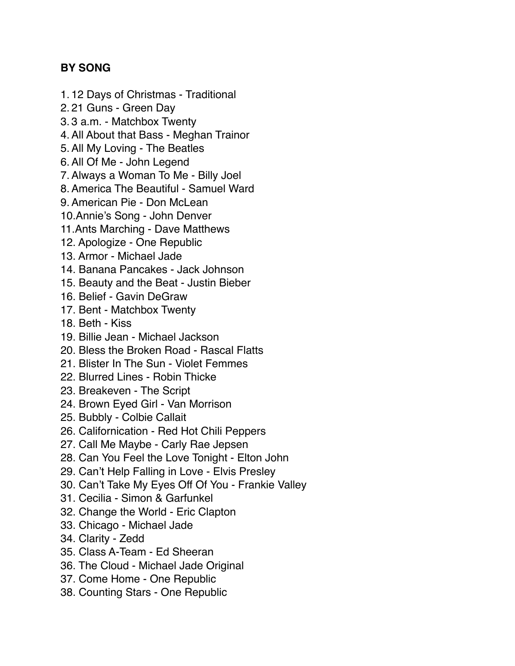## **BY SONG**

- 1. 12 Days of Christmas Traditional
- 2. 21 Guns Green Day
- 3. 3 a.m. Matchbox Twenty
- 4.All About that Bass Meghan Trainor
- 5.All My Loving The Beatles
- 6.All Of Me John Legend
- 7.Always a Woman To Me Billy Joel
- 8.America The Beautiful Samuel Ward
- 9.American Pie Don McLean
- 10.Annie's Song John Denver
- 11.Ants Marching Dave Matthews
- 12. Apologize One Republic
- 13. Armor Michael Jade
- 14. Banana Pancakes Jack Johnson
- 15. Beauty and the Beat Justin Bieber
- 16. Belief Gavin DeGraw
- 17. Bent Matchbox Twenty
- 18. Beth Kiss
- 19. Billie Jean Michael Jackson
- 20. Bless the Broken Road Rascal Flatts
- 21. Blister In The Sun Violet Femmes
- 22. Blurred Lines Robin Thicke
- 23. Breakeven The Script
- 24. Brown Eyed Girl Van Morrison
- 25. Bubbly Colbie Callait
- 26. Californication Red Hot Chili Peppers
- 27. Call Me Maybe Carly Rae Jepsen
- 28. Can You Feel the Love Tonight Elton John
- 29. Can't Help Falling in Love Elvis Presley
- 30. Can't Take My Eyes Off Of You Frankie Valley
- 31. Cecilia Simon & Garfunkel
- 32. Change the World Eric Clapton
- 33. Chicago Michael Jade
- 34. Clarity Zedd
- 35. Class A-Team Ed Sheeran
- 36. The Cloud Michael Jade Original
- 37. Come Home One Republic
- 38. Counting Stars One Republic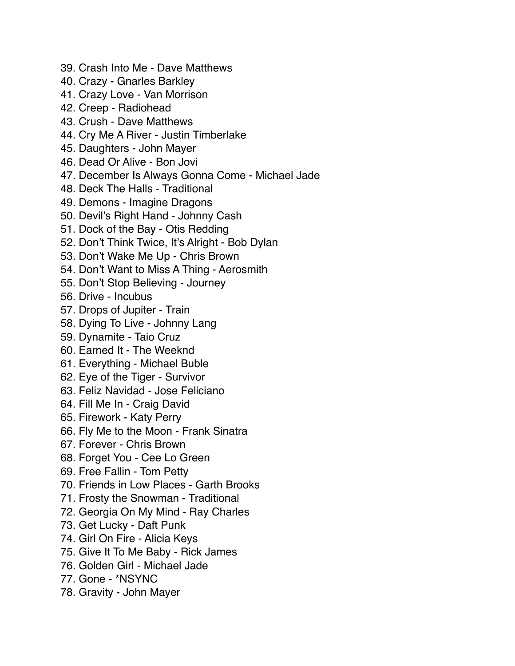- 39. Crash Into Me Dave Matthews
- 40. Crazy Gnarles Barkley
- 41. Crazy Love Van Morrison
- 42. Creep Radiohead
- 43. Crush Dave Matthews
- 44. Cry Me A River Justin Timberlake
- 45. Daughters John Mayer
- 46. Dead Or Alive Bon Jovi
- 47. December Is Always Gonna Come Michael Jade
- 48. Deck The Halls Traditional
- 49. Demons Imagine Dragons
- 50. Devil's Right Hand Johnny Cash
- 51. Dock of the Bay Otis Redding
- 52. Don't Think Twice, It's Alright Bob Dylan
- 53. Don't Wake Me Up Chris Brown
- 54. Don't Want to Miss A Thing Aerosmith
- 55. Don't Stop Believing Journey
- 56. Drive Incubus
- 57. Drops of Jupiter Train
- 58. Dying To Live Johnny Lang
- 59. Dynamite Taio Cruz
- 60. Earned It The Weeknd
- 61. Everything Michael Buble
- 62. Eye of the Tiger Survivor
- 63. Feliz Navidad Jose Feliciano
- 64. Fill Me In Craig David
- 65. Firework Katy Perry
- 66. Fly Me to the Moon Frank Sinatra
- 67. Forever Chris Brown
- 68. Forget You Cee Lo Green
- 69. Free Fallin Tom Petty
- 70. Friends in Low Places Garth Brooks
- 71. Frosty the Snowman Traditional
- 72. Georgia On My Mind Ray Charles
- 73. Get Lucky Daft Punk
- 74. Girl On Fire Alicia Keys
- 75. Give It To Me Baby Rick James
- 76. Golden Girl Michael Jade
- 77. Gone \*NSYNC
- 78. Gravity John Mayer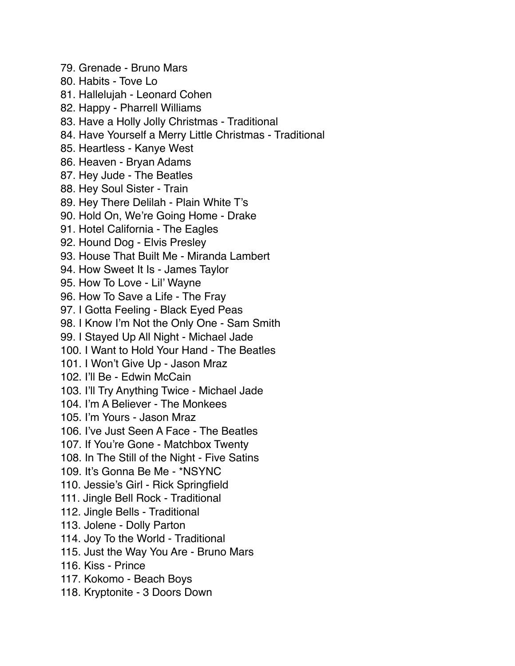79. Grenade - Bruno Mars 80. Habits - Tove Lo 81. Hallelujah - Leonard Cohen 82. Happy - Pharrell Williams 83. Have a Holly Jolly Christmas - Traditional 84. Have Yourself a Merry Little Christmas - Traditional 85. Heartless - Kanye West 86. Heaven - Bryan Adams 87. Hey Jude - The Beatles 88. Hey Soul Sister - Train 89. Hey There Delilah - Plain White T's 90. Hold On, We're Going Home - Drake 91. Hotel California - The Eagles 92. Hound Dog - Elvis Presley 93. House That Built Me - Miranda Lambert 94. How Sweet It Is - James Taylor 95. How To Love - Lil' Wayne 96. How To Save a Life - The Fray 97. I Gotta Feeling - Black Eyed Peas 98. I Know I'm Not the Only One - Sam Smith 99. I Stayed Up All Night - Michael Jade 100. I Want to Hold Your Hand - The Beatles 101. I Won't Give Up - Jason Mraz 102. I'll Be - Edwin McCain 103. I'll Try Anything Twice - Michael Jade 104. I'm A Believer - The Monkees 105. I'm Yours - Jason Mraz 106. I've Just Seen A Face - The Beatles 107. If You're Gone - Matchbox Twenty 108. In The Still of the Night - Five Satins 109. It's Gonna Be Me - \*NSYNC 110. Jessie's Girl - Rick Springfield 111. Jingle Bell Rock - Traditional 112. Jingle Bells - Traditional 113. Jolene - Dolly Parton 114. Joy To the World - Traditional 115. Just the Way You Are - Bruno Mars 116. Kiss - Prince 117. Kokomo - Beach Boys 118. Kryptonite - 3 Doors Down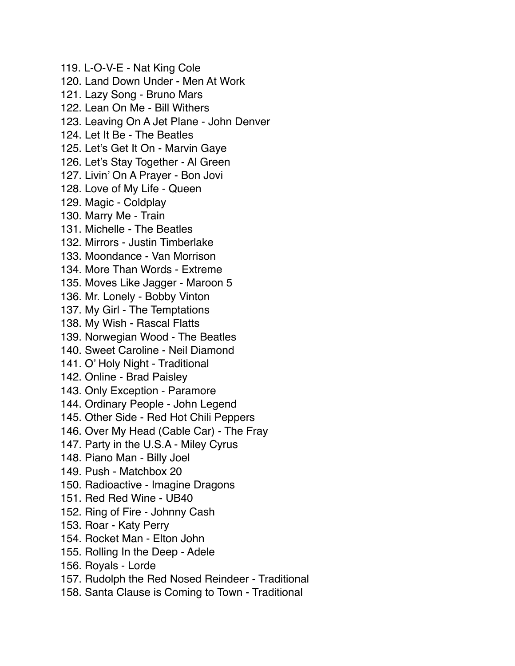119. L-O-V-E - Nat King Cole 120. Land Down Under - Men At Work 121. Lazy Song - Bruno Mars 122. Lean On Me - Bill Withers 123. Leaving On A Jet Plane - John Denver 124. Let It Be - The Beatles 125. Let's Get It On - Marvin Gaye 126. Let's Stay Together - Al Green 127. Livin' On A Prayer - Bon Jovi 128. Love of My Life - Queen 129. Magic - Coldplay 130. Marry Me - Train 131. Michelle - The Beatles 132. Mirrors - Justin Timberlake 133. Moondance - Van Morrison 134. More Than Words - Extreme 135. Moves Like Jagger - Maroon 5 136. Mr. Lonely - Bobby Vinton 137. My Girl - The Temptations 138. My Wish - Rascal Flatts 139. Norwegian Wood - The Beatles 140. Sweet Caroline - Neil Diamond 141. O' Holy Night - Traditional 142. Online - Brad Paisley 143. Only Exception - Paramore 144. Ordinary People - John Legend 145. Other Side - Red Hot Chili Peppers 146. Over My Head (Cable Car) - The Fray 147. Party in the U.S.A - Miley Cyrus 148. Piano Man - Billy Joel 149. Push - Matchbox 20 150. Radioactive - Imagine Dragons 151. Red Red Wine - UB40 152. Ring of Fire - Johnny Cash 153. Roar - Katy Perry 154. Rocket Man - Elton John 155. Rolling In the Deep - Adele 156. Royals - Lorde 157. Rudolph the Red Nosed Reindeer - Traditional

158. Santa Clause is Coming to Town - Traditional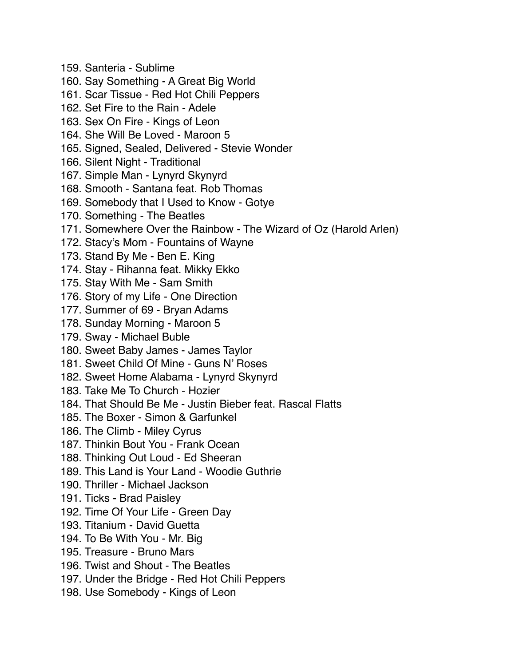- 159. Santeria Sublime
- 160. Say Something A Great Big World
- 161. Scar Tissue Red Hot Chili Peppers
- 162. Set Fire to the Rain Adele
- 163. Sex On Fire Kings of Leon
- 164. She Will Be Loved Maroon 5
- 165. Signed, Sealed, Delivered Stevie Wonder
- 166. Silent Night Traditional
- 167. Simple Man Lynyrd Skynyrd
- 168. Smooth Santana feat. Rob Thomas
- 169. Somebody that I Used to Know Gotye
- 170. Something The Beatles
- 171. Somewhere Over the Rainbow The Wizard of Oz (Harold Arlen)
- 172. Stacy's Mom Fountains of Wayne
- 173. Stand By Me Ben E. King
- 174. Stay Rihanna feat. Mikky Ekko
- 175. Stay With Me Sam Smith
- 176. Story of my Life One Direction
- 177. Summer of 69 Bryan Adams
- 178. Sunday Morning Maroon 5
- 179. Sway Michael Buble
- 180. Sweet Baby James James Taylor
- 181. Sweet Child Of Mine Guns N' Roses
- 182. Sweet Home Alabama Lynyrd Skynyrd
- 183. Take Me To Church Hozier
- 184. That Should Be Me Justin Bieber feat. Rascal Flatts
- 185. The Boxer Simon & Garfunkel
- 186. The Climb Miley Cyrus
- 187. Thinkin Bout You Frank Ocean
- 188. Thinking Out Loud Ed Sheeran
- 189. This Land is Your Land Woodie Guthrie
- 190. Thriller Michael Jackson
- 191. Ticks Brad Paisley
- 192. Time Of Your Life Green Day
- 193. Titanium David Guetta
- 194. To Be With You Mr. Big
- 195. Treasure Bruno Mars
- 196. Twist and Shout The Beatles
- 197. Under the Bridge Red Hot Chili Peppers
- 198. Use Somebody Kings of Leon